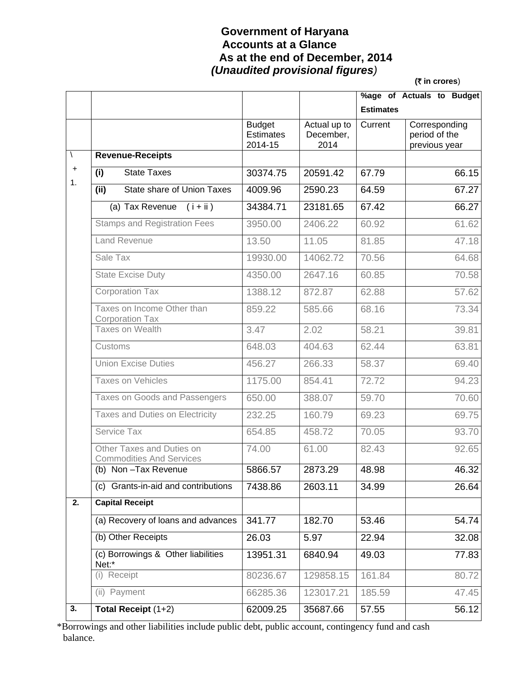### **Government of Haryana Accounts at a Glance As at the end of December, 2014**   *(Unaudited provisional figures)*

**(**` **in crores**)

|             |                                                              |                                              |                                   |                  | %age of Actuals to Budget                       |
|-------------|--------------------------------------------------------------|----------------------------------------------|-----------------------------------|------------------|-------------------------------------------------|
|             |                                                              |                                              |                                   | <b>Estimates</b> |                                                 |
|             |                                                              | <b>Budget</b><br><b>Estimates</b><br>2014-15 | Actual up to<br>December,<br>2014 | Current          | Corresponding<br>period of the<br>previous year |
| $\setminus$ | <b>Revenue-Receipts</b>                                      |                                              |                                   |                  |                                                 |
| $\ddag$     | <b>State Taxes</b><br>(i)                                    | 30374.75                                     | 20591.42                          | 67.79            | 66.15                                           |
| 1.          | State share of Union Taxes<br>(iii)                          | 4009.96                                      | 2590.23                           | 64.59            | 67.27                                           |
|             | (a) Tax Revenue $(i + ii)$                                   | 34384.71                                     | 23181.65                          | 67.42            | 66.27                                           |
|             | <b>Stamps and Registration Fees</b>                          | 3950.00                                      | 2406.22                           | 60.92            | 61.62                                           |
|             | <b>Land Revenue</b>                                          | 13.50                                        | 11.05                             | 81.85            | 47.18                                           |
|             | Sale Tax                                                     | 19930.00                                     | 14062.72                          | 70.56            | 64.68                                           |
|             | <b>State Excise Duty</b>                                     | 4350.00                                      | 2647.16                           | 60.85            | 70.58                                           |
|             | <b>Corporation Tax</b>                                       | 1388.12                                      | 872.87                            | 62.88            | 57.62                                           |
|             | Taxes on Income Other than<br>Corporation Tax                | 859.22                                       | 585.66                            | 68.16            | 73.34                                           |
|             | <b>Taxes on Wealth</b>                                       | 3.47                                         | 2.02                              | 58.21            | 39.81                                           |
|             | Customs                                                      | 648.03                                       | 404.63                            | 62.44            | 63.81                                           |
|             | <b>Union Excise Duties</b>                                   | 456.27                                       | 266.33                            | 58.37            | 69.40                                           |
|             | Taxes on Vehicles                                            | 1175.00                                      | 854.41                            | 72.72            | 94.23                                           |
|             | Taxes on Goods and Passengers                                | 650.00                                       | 388.07                            | 59.70            | 70.60                                           |
|             | Taxes and Duties on Electricity                              | 232.25                                       | 160.79                            | 69.23            | 69.75                                           |
|             | Service Tax                                                  | 654.85                                       | 458.72                            | 70.05            | 93.70                                           |
|             | Other Taxes and Duties on<br><b>Commodities And Services</b> | 74.00                                        | 61.00                             | 82.43            | 92.65                                           |
|             | (b) Non-Tax Revenue                                          | 5866.57                                      | 2873.29                           | 48.98            | 46.32                                           |
|             | (c) Grants-in-aid and contributions                          | 7438.86                                      | 2603.11                           | 34.99            | 26.64                                           |
| 2.          | <b>Capital Receipt</b>                                       |                                              |                                   |                  |                                                 |
|             | (a) Recovery of loans and advances                           | 341.77                                       | 182.70                            | 53.46            | 54.74                                           |
|             | (b) Other Receipts                                           | 26.03                                        | 5.97                              | 22.94            | 32.08                                           |
|             | (c) Borrowings & Other liabilities<br>Net:*                  | 13951.31                                     | 6840.94                           | 49.03            | 77.83                                           |
|             | (i) Receipt                                                  | 80236.67                                     | 129858.15                         | 161.84           | 80.72                                           |
|             | (ii) Payment                                                 | 66285.36                                     | 123017.21                         | 185.59           | 47.45                                           |
| 3.          | Total Receipt (1+2)                                          | 62009.25                                     | 35687.66                          | 57.55            | 56.12                                           |

 \*Borrowings and other liabilities include public debt, public account, contingency fund and cash balance.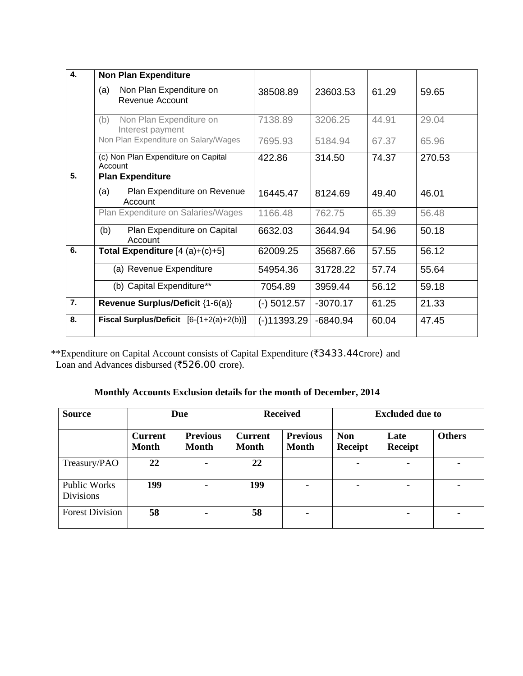| 4. | <b>Non Plan Expenditure</b>                        |               |            |       |        |
|----|----------------------------------------------------|---------------|------------|-------|--------|
|    | Non Plan Expenditure on<br>(a)<br>Revenue Account  | 38508.89      | 23603.53   | 61.29 | 59.65  |
|    | (b)<br>Non Plan Expenditure on<br>Interest payment | 7138.89       | 3206.25    | 44.91 | 29.04  |
|    | Non Plan Expenditure on Salary/Wages               | 7695.93       | 5184.94    | 67.37 | 65.96  |
|    | (c) Non Plan Expenditure on Capital<br>Account     | 422.86        | 314.50     | 74.37 | 270.53 |
| 5. | <b>Plan Expenditure</b>                            |               |            |       |        |
|    | (a)<br>Plan Expenditure on Revenue<br>Account      | 16445.47      | 8124.69    | 49.40 | 46.01  |
|    | Plan Expenditure on Salaries/Wages                 | 1166.48       | 762.75     | 65.39 | 56.48  |
|    | (b)<br>Plan Expenditure on Capital<br>Account      | 6632.03       | 3644.94    | 54.96 | 50.18  |
| 6. | Total Expenditure $[4 (a)+(c)+5]$                  | 62009.25      | 35687.66   | 57.55 | 56.12  |
|    | (a) Revenue Expenditure                            | 54954.36      | 31728.22   | 57.74 | 55.64  |
|    | (b) Capital Expenditure**                          | 7054.89       | 3959.44    | 56.12 | 59.18  |
| 7. | Revenue Surplus/Deficit {1-6(a)}                   | $(-)$ 5012.57 | $-3070.17$ | 61.25 | 21.33  |
| 8. | Fiscal Surplus/Deficit $[6-(1+2(a)+2(b))]$         | $(-)11393.29$ | $-6840.94$ | 60.04 | 47.45  |

\*\*Expenditure on Capital Account consists of Capital Expenditure (₹3433.44Crore) and Loan and Advances disbursed ( $\overline{\text{526.00}}$  crore).

### **Monthly Accounts Exclusion details for the month of December, 2014**

| <b>Source</b>                           |                                | Due                             |                                | <b>Received</b>                 |                       | <b>Excluded due to</b> |               |
|-----------------------------------------|--------------------------------|---------------------------------|--------------------------------|---------------------------------|-----------------------|------------------------|---------------|
|                                         | <b>Current</b><br><b>Month</b> | <b>Previous</b><br><b>Month</b> | <b>Current</b><br><b>Month</b> | <b>Previous</b><br><b>Month</b> | <b>Non</b><br>Receipt | Late<br><b>Receipt</b> | <b>Others</b> |
| Treasury/PAO                            | 22                             | ۰                               | 22                             |                                 |                       | ۰                      | ۰             |
| <b>Public Works</b><br><b>Divisions</b> | 199                            | $\blacksquare$                  | 199                            |                                 | $\blacksquare$        | ۰                      |               |
| <b>Forest Division</b>                  | 58                             | ۰                               | 58                             | ۰                               |                       | ۰                      | ۰             |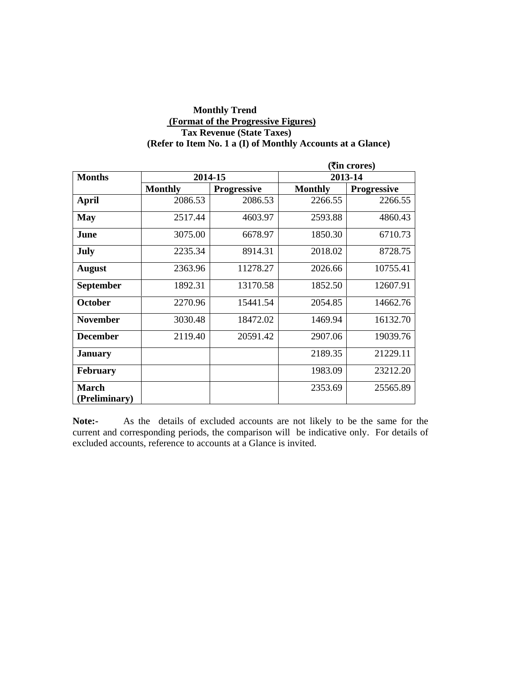#### **Monthly Trend (Format of the Progressive Figures) Tax Revenue (State Taxes) (Refer to Item No. 1 a (I) of Monthly Accounts at a Glance)**

|                               |                |                    | ( <b>रैंin crores</b> ) |                    |  |
|-------------------------------|----------------|--------------------|-------------------------|--------------------|--|
| <b>Months</b>                 |                | 2014-15            | 2013-14                 |                    |  |
|                               | <b>Monthly</b> | <b>Progressive</b> | <b>Monthly</b>          | <b>Progressive</b> |  |
| <b>April</b>                  | 2086.53        | 2086.53            | 2266.55                 | 2266.55            |  |
| <b>May</b>                    | 2517.44        | 4603.97            | 2593.88                 | 4860.43            |  |
| June                          | 3075.00        | 6678.97            | 1850.30                 | 6710.73            |  |
| July                          | 2235.34        | 8914.31            | 2018.02                 | 8728.75            |  |
| <b>August</b>                 | 2363.96        | 11278.27           | 2026.66                 | 10755.41           |  |
| <b>September</b>              | 1892.31        | 13170.58           | 1852.50                 | 12607.91           |  |
| <b>October</b>                | 2270.96        | 15441.54           | 2054.85                 | 14662.76           |  |
| <b>November</b>               | 3030.48        | 18472.02           | 1469.94                 | 16132.70           |  |
| <b>December</b>               | 2119.40        | 20591.42           | 2907.06                 | 19039.76           |  |
| <b>January</b>                |                |                    | 2189.35                 | 21229.11           |  |
| <b>February</b>               |                |                    | 1983.09                 | 23212.20           |  |
| <b>March</b><br>(Preliminary) |                |                    | 2353.69                 | 25565.89           |  |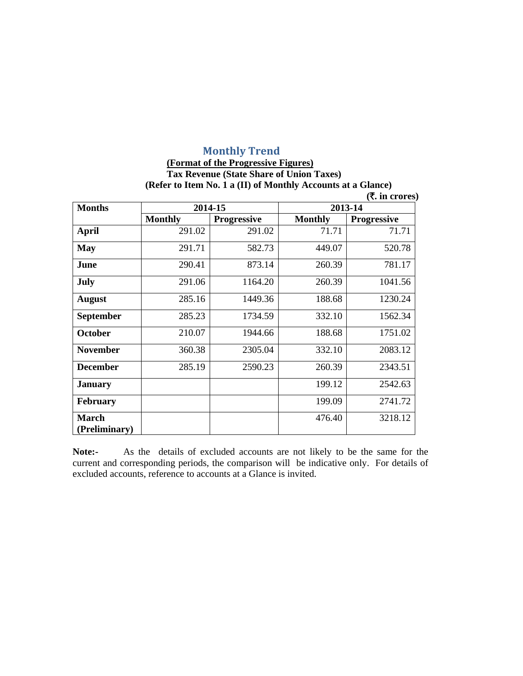# **Monthly Trend**

#### **(Format of the Progressive Figures) Tax Revenue (State Share of Union Taxes) (Refer to Item No. 1 a (II) of Monthly Accounts at a Glance)**   $(\bar{\bar{\tau}})$  in crores)

| (X. III Crores)  |                |                    |                |                    |  |  |
|------------------|----------------|--------------------|----------------|--------------------|--|--|
| <b>Months</b>    |                | 2014-15            |                | 2013-14            |  |  |
|                  | <b>Monthly</b> | <b>Progressive</b> | <b>Monthly</b> | <b>Progressive</b> |  |  |
| <b>April</b>     | 291.02         | 291.02             | 71.71          | 71.71              |  |  |
| <b>May</b>       | 291.71         | 582.73             | 449.07         | 520.78             |  |  |
| June             | 290.41         | 873.14             | 260.39         | 781.17             |  |  |
| <b>July</b>      | 291.06         | 1164.20            | 260.39         | 1041.56            |  |  |
| <b>August</b>    | 285.16         | 1449.36            | 188.68         | 1230.24            |  |  |
| <b>September</b> | 285.23         | 1734.59            | 332.10         | 1562.34            |  |  |
| <b>October</b>   | 210.07         | 1944.66            | 188.68         | 1751.02            |  |  |
| <b>November</b>  | 360.38         | 2305.04            | 332.10         | 2083.12            |  |  |
| <b>December</b>  | 285.19         | 2590.23            | 260.39         | 2343.51            |  |  |
| <b>January</b>   |                |                    | 199.12         | 2542.63            |  |  |
| <b>February</b>  |                |                    | 199.09         | 2741.72            |  |  |
| <b>March</b>     |                |                    | 476.40         | 3218.12            |  |  |
| (Preliminary)    |                |                    |                |                    |  |  |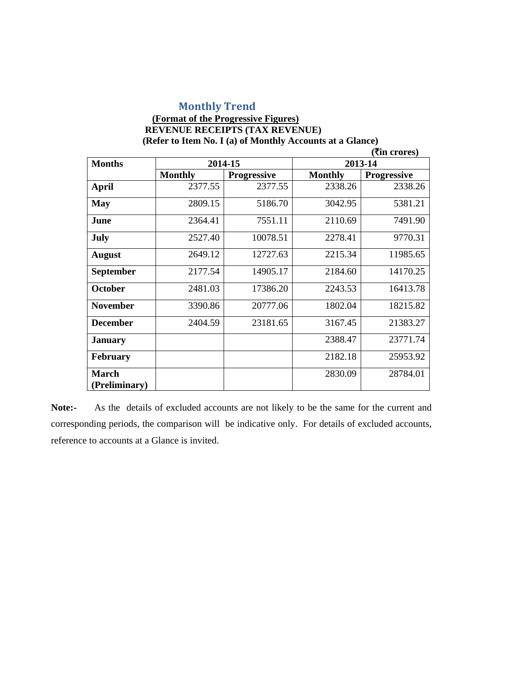### **Monthly Trend**

#### **(Format of the Progressive Figures) REVENUE RECEIPTS (TAX REVENUE) (Refer to Item No. I (a) of Monthly Accounts at a Glance) (**`**in crores)**

| <b>Months</b>                 | 2014-15        |                    | 2013-14        |                    |
|-------------------------------|----------------|--------------------|----------------|--------------------|
|                               | <b>Monthly</b> | <b>Progressive</b> | <b>Monthly</b> | <b>Progressive</b> |
| <b>April</b>                  | 2377.55        | 2377.55            | 2338.26        | 2338.26            |
| <b>May</b>                    | 2809.15        | 5186.70            | 3042.95        | 5381.21            |
| June                          | 2364.41        | 7551.11            | 2110.69        | 7491.90            |
| July                          | 2527.40        | 10078.51           | 2278.41        | 9770.31            |
| <b>August</b>                 | 2649.12        | 12727.63           | 2215.34        | 11985.65           |
| <b>September</b>              | 2177.54        | 14905.17           | 2184.60        | 14170.25           |
| <b>October</b>                | 2481.03        | 17386.20           | 2243.53        | 16413.78           |
| <b>November</b>               | 3390.86        | 20777.06           | 1802.04        | 18215.82           |
| <b>December</b>               | 2404.59        | 23181.65           | 3167.45        | 21383.27           |
| <b>January</b>                |                |                    | 2388.47        | 23771.74           |
| <b>February</b>               |                |                    | 2182.18        | 25953.92           |
| <b>March</b><br>(Preliminary) |                |                    | 2830.09        | 28784.01           |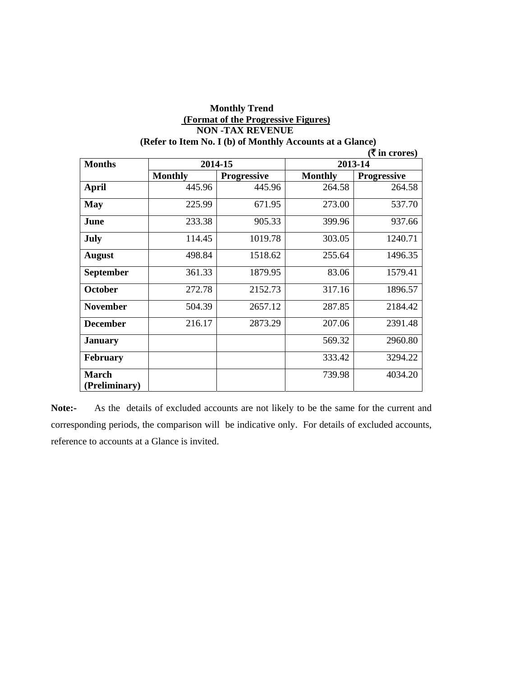| (Refer to Item No. I (b) of Monthly Accounts at a Glance) |                |                    |                |                    |  |
|-----------------------------------------------------------|----------------|--------------------|----------------|--------------------|--|
|                                                           |                |                    |                | (₹ in crores)      |  |
| <b>Months</b>                                             |                | 2014-15            | 2013-14        |                    |  |
|                                                           | <b>Monthly</b> | <b>Progressive</b> | <b>Monthly</b> | <b>Progressive</b> |  |
| <b>April</b>                                              | 445.96         | 445.96             | 264.58         | 264.58             |  |
| <b>May</b>                                                | 225.99         | 671.95             | 273.00         | 537.70             |  |
| June                                                      | 233.38         | 905.33             | 399.96         | 937.66             |  |
| <b>July</b>                                               | 114.45         | 1019.78            | 303.05         | 1240.71            |  |
| <b>August</b>                                             | 498.84         | 1518.62            | 255.64         | 1496.35            |  |
| <b>September</b>                                          | 361.33         | 1879.95            | 83.06          | 1579.41            |  |
| October                                                   | 272.78         | 2152.73            | 317.16         | 1896.57            |  |
| <b>November</b>                                           | 504.39         | 2657.12            | 287.85         | 2184.42            |  |
| <b>December</b>                                           | 216.17         | 2873.29            | 207.06         | 2391.48            |  |
| <b>January</b>                                            |                |                    | 569.32         | 2960.80            |  |
| <b>February</b>                                           |                |                    | 333.42         | 3294.22            |  |
| <b>March</b><br>(Preliminary)                             |                |                    | 739.98         | 4034.20            |  |

## **Monthly Trend (Format of the Progressive Figures) NON -TAX REVENUE**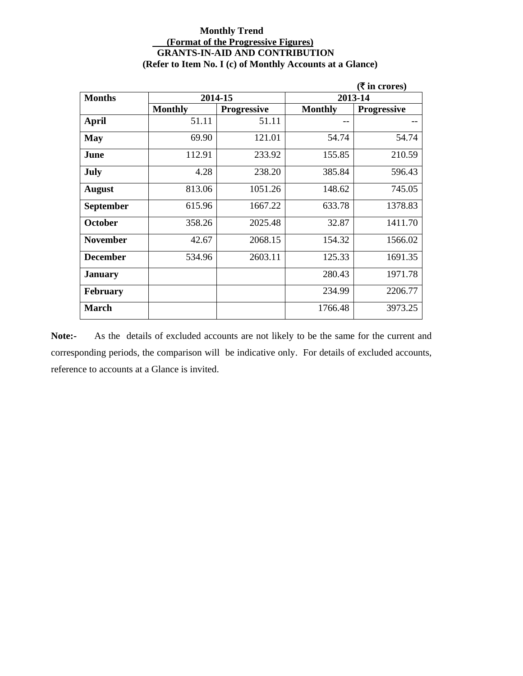#### **Monthly Trend (Format of the Progressive Figures) GRANTS-IN-AID AND CONTRIBUTION (Refer to Item No. I (c) of Monthly Accounts at a Glance)**

|                  |                |                    |                | (₹ in crores)      |
|------------------|----------------|--------------------|----------------|--------------------|
| <b>Months</b>    |                | 2014-15            |                | 2013-14            |
|                  | <b>Monthly</b> | <b>Progressive</b> | <b>Monthly</b> | <b>Progressive</b> |
| <b>April</b>     | 51.11          | 51.11              |                |                    |
| <b>May</b>       | 69.90          | 121.01             | 54.74          | 54.74              |
| June             | 112.91         | 233.92             | 155.85         | 210.59             |
| <b>July</b>      | 4.28           | 238.20             | 385.84         | 596.43             |
| <b>August</b>    | 813.06         | 1051.26            | 148.62         | 745.05             |
| <b>September</b> | 615.96         | 1667.22            | 633.78         | 1378.83            |
| <b>October</b>   | 358.26         | 2025.48            | 32.87          | 1411.70            |
| <b>November</b>  | 42.67          | 2068.15            | 154.32         | 1566.02            |
| <b>December</b>  | 534.96         | 2603.11            | 125.33         | 1691.35            |
| <b>January</b>   |                |                    | 280.43         | 1971.78            |
| <b>February</b>  |                |                    | 234.99         | 2206.77            |
| <b>March</b>     |                |                    | 1766.48        | 3973.25            |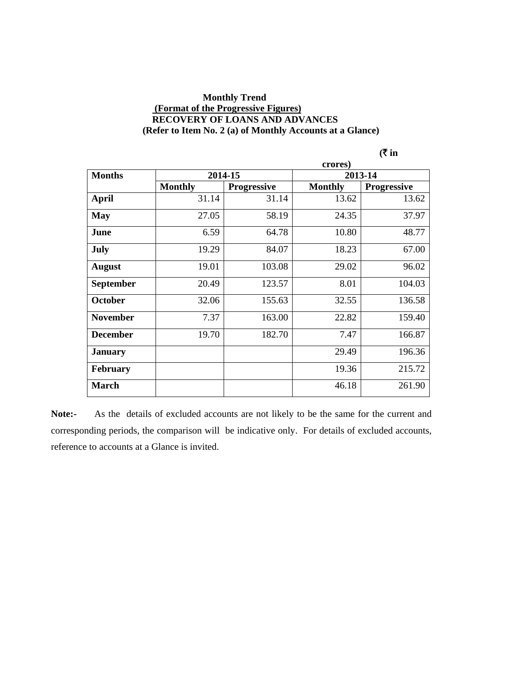#### **Monthly Trend (Format of the Progressive Figures) RECOVERY OF LOANS AND ADVANCES (Refer to Item No. 2 (a) of Monthly Accounts at a Glance)**

| ın |
|----|
|----|

|                  | crores)        |                    |                |                    |  |
|------------------|----------------|--------------------|----------------|--------------------|--|
| <b>Months</b>    |                | 2014-15            |                | 2013-14            |  |
|                  | <b>Monthly</b> | <b>Progressive</b> | <b>Monthly</b> | <b>Progressive</b> |  |
| April            | 31.14          | 31.14              | 13.62          | 13.62              |  |
| <b>May</b>       | 27.05          | 58.19              | 24.35          | 37.97              |  |
| June             | 6.59           | 64.78              | 10.80          | 48.77              |  |
| <b>July</b>      | 19.29          | 84.07              | 18.23          | 67.00              |  |
| <b>August</b>    | 19.01          | 103.08             | 29.02          | 96.02              |  |
| <b>September</b> | 20.49          | 123.57             | 8.01           | 104.03             |  |
| October          | 32.06          | 155.63             | 32.55          | 136.58             |  |
| <b>November</b>  | 7.37           | 163.00             | 22.82          | 159.40             |  |
| <b>December</b>  | 19.70          | 182.70             | 7.47           | 166.87             |  |
| <b>January</b>   |                |                    | 29.49          | 196.36             |  |
| <b>February</b>  |                |                    | 19.36          | 215.72             |  |
| <b>March</b>     |                |                    | 46.18          | 261.90             |  |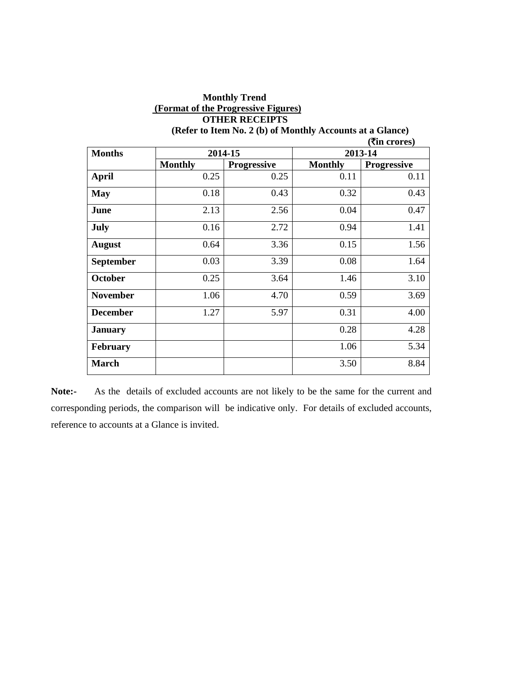| <b>OTHER RECEIPTS</b>                                                              |                    |                |                    |  |  |  |
|------------------------------------------------------------------------------------|--------------------|----------------|--------------------|--|--|--|
| (Refer to Item No. 2 (b) of Monthly Accounts at a Glance)<br>( <b>₹in crores</b> ) |                    |                |                    |  |  |  |
|                                                                                    |                    |                | 2013-14            |  |  |  |
| <b>Monthly</b>                                                                     | <b>Progressive</b> | <b>Monthly</b> | <b>Progressive</b> |  |  |  |
| 0.25                                                                               | 0.25               | 0.11           | 0.11               |  |  |  |
| 0.18                                                                               | 0.43               | 0.32           | 0.43               |  |  |  |
| 2.13                                                                               | 2.56               | 0.04           | 0.47               |  |  |  |
| 0.16                                                                               | 2.72               | 0.94           | 1.41               |  |  |  |
| 0.64                                                                               | 3.36               | 0.15           | 1.56               |  |  |  |
| 0.03                                                                               | 3.39               | 0.08           | 1.64               |  |  |  |
| 0.25                                                                               | 3.64               | 1.46           | 3.10               |  |  |  |
| 1.06                                                                               | 4.70               | 0.59           | 3.69               |  |  |  |
| 1.27                                                                               | 5.97               | 0.31           | 4.00               |  |  |  |
|                                                                                    |                    | 0.28           | 4.28               |  |  |  |
|                                                                                    |                    | 1.06           | 5.34               |  |  |  |
|                                                                                    |                    | 3.50           | 8.84               |  |  |  |
|                                                                                    |                    | 2014-15        |                    |  |  |  |

**Monthly Trend (Format of the Progressive Figures)**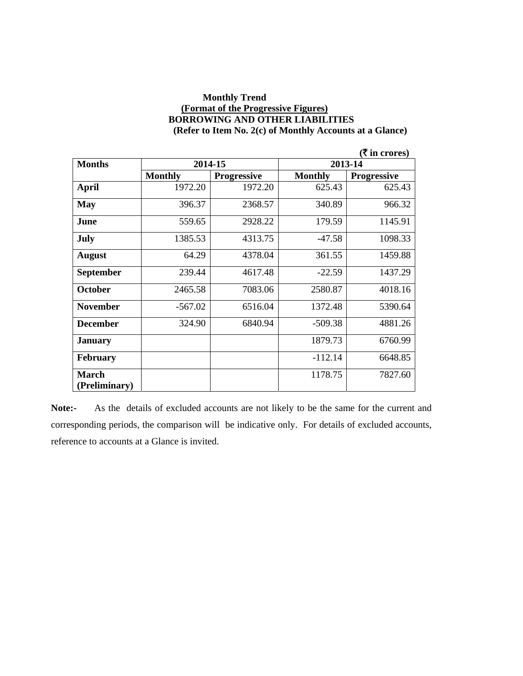#### **Monthly Trend (Format of the Progressive Figures) BORROWING AND OTHER LIABILITIES (Refer to Item No. 2(c) of Monthly Accounts at a Glance)**

|                  |                |                    |                | (₹ in crores)      |
|------------------|----------------|--------------------|----------------|--------------------|
| <b>Months</b>    |                | 2014-15            |                | 2013-14            |
|                  | <b>Monthly</b> | <b>Progressive</b> | <b>Monthly</b> | <b>Progressive</b> |
| <b>April</b>     | 1972.20        | 1972.20            | 625.43         | 625.43             |
| May              | 396.37         | 2368.57            | 340.89         | 966.32             |
| June             | 559.65         | 2928.22            | 179.59         | 1145.91            |
| July             | 1385.53        | 4313.75            | $-47.58$       | 1098.33            |
| <b>August</b>    | 64.29          | 4378.04            | 361.55         | 1459.88            |
| <b>September</b> | 239.44         | 4617.48            | $-22.59$       | 1437.29            |
| October          | 2465.58        | 7083.06            | 2580.87        | 4018.16            |
| <b>November</b>  | $-567.02$      | 6516.04            | 1372.48        | 5390.64            |
| <b>December</b>  | 324.90         | 6840.94            | $-509.38$      | 4881.26            |
| <b>January</b>   |                |                    | 1879.73        | 6760.99            |
| <b>February</b>  |                |                    | $-112.14$      | 6648.85            |
| <b>March</b>     |                |                    | 1178.75        | 7827.60            |
| (Preliminary)    |                |                    |                |                    |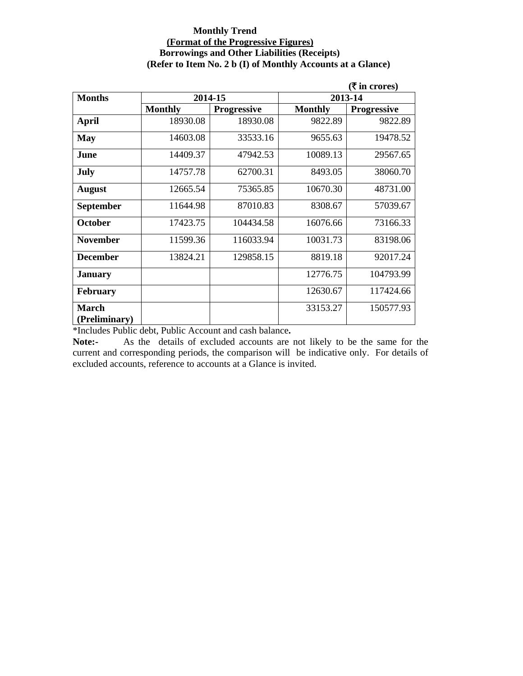#### **Monthly Trend (Format of the Progressive Figures) Borrowings and Other Liabilities (Receipts) (Refer to Item No. 2 b (I) of Monthly Accounts at a Glance)**

|                               |                |                    |                | ( ₹ in cross)      |
|-------------------------------|----------------|--------------------|----------------|--------------------|
| <b>Months</b>                 | 2014-15        |                    |                | 2013-14            |
|                               | <b>Monthly</b> | <b>Progressive</b> | <b>Monthly</b> | <b>Progressive</b> |
| <b>April</b>                  | 18930.08       | 18930.08           | 9822.89        | 9822.89            |
| <b>May</b>                    | 14603.08       | 33533.16           | 9655.63        | 19478.52           |
| June                          | 14409.37       | 47942.53           | 10089.13       | 29567.65           |
| <b>July</b>                   | 14757.78       | 62700.31           | 8493.05        | 38060.70           |
| <b>August</b>                 | 12665.54       | 75365.85           | 10670.30       | 48731.00           |
| <b>September</b>              | 11644.98       | 87010.83           | 8308.67        | 57039.67           |
| October                       | 17423.75       | 104434.58          | 16076.66       | 73166.33           |
| <b>November</b>               | 11599.36       | 116033.94          | 10031.73       | 83198.06           |
| <b>December</b>               | 13824.21       | 129858.15          | 8819.18        | 92017.24           |
| <b>January</b>                |                |                    | 12776.75       | 104793.99          |
| <b>February</b>               |                |                    | 12630.67       | 117424.66          |
| <b>March</b><br>(Preliminary) |                |                    | 33153.27       | 150577.93          |

\*Includes Public debt, Public Account and cash balance**.**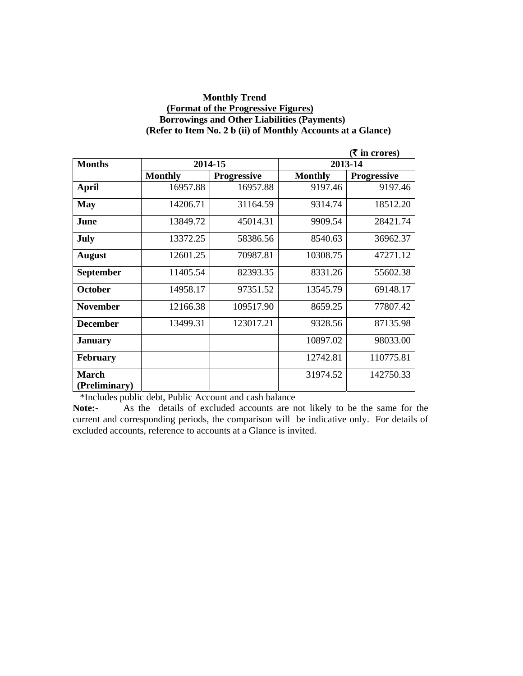#### **Monthly Trend (Format of the Progressive Figures) Borrowings and Other Liabilities (Payments) (Refer to Item No. 2 b (ii) of Monthly Accounts at a Glance)**

|                               |                |                    |                | (₹ in crores)      |
|-------------------------------|----------------|--------------------|----------------|--------------------|
| <b>Months</b>                 | 2014-15        |                    |                | 2013-14            |
|                               | <b>Monthly</b> | <b>Progressive</b> | <b>Monthly</b> | <b>Progressive</b> |
| <b>April</b>                  | 16957.88       | 16957.88           | 9197.46        | 9197.46            |
| <b>May</b>                    | 14206.71       | 31164.59           | 9314.74        | 18512.20           |
| June                          | 13849.72       | 45014.31           | 9909.54        | 28421.74           |
| July                          | 13372.25       | 58386.56           | 8540.63        | 36962.37           |
| <b>August</b>                 | 12601.25       | 70987.81           | 10308.75       | 47271.12           |
| <b>September</b>              | 11405.54       | 82393.35           | 8331.26        | 55602.38           |
| October                       | 14958.17       | 97351.52           | 13545.79       | 69148.17           |
| <b>November</b>               | 12166.38       | 109517.90          | 8659.25        | 77807.42           |
| <b>December</b>               | 13499.31       | 123017.21          | 9328.56        | 87135.98           |
| <b>January</b>                |                |                    | 10897.02       | 98033.00           |
| <b>February</b>               |                |                    | 12742.81       | 110775.81          |
| <b>March</b><br>(Preliminary) |                |                    | 31974.52       | 142750.33          |

\*Includes public debt, Public Account and cash balance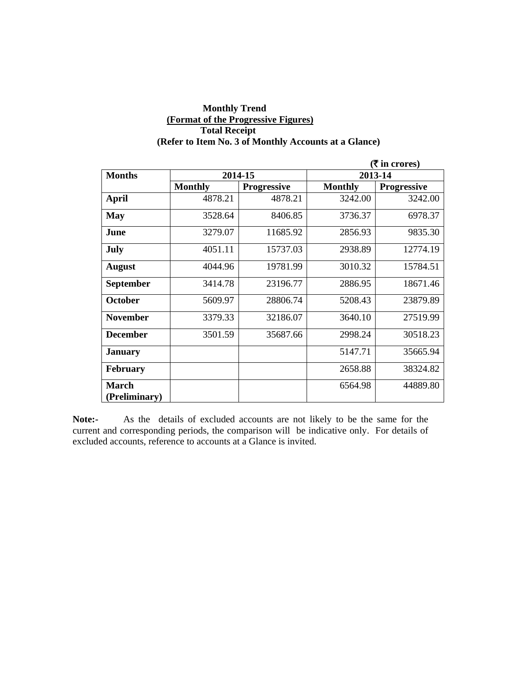#### **Monthly Trend (Format of the Progressive Figures) Total Receipt (Refer to Item No. 3 of Monthly Accounts at a Glance)**

|                        |                |                    | ( ₹ in cross)  |                    |
|------------------------|----------------|--------------------|----------------|--------------------|
| <b>Months</b>          | 2014-15        |                    |                | 2013-14            |
|                        | <b>Monthly</b> | <b>Progressive</b> | <b>Monthly</b> | <b>Progressive</b> |
| <b>April</b>           | 4878.21        | 4878.21            | 3242.00        | 3242.00            |
| <b>May</b>             | 3528.64        | 8406.85            | 3736.37        | 6978.37            |
| June                   | 3279.07        | 11685.92           | 2856.93        | 9835.30            |
| July                   | 4051.11        | 15737.03           | 2938.89        | 12774.19           |
| <b>August</b>          | 4044.96        | 19781.99           | 3010.32        | 15784.51           |
| <b>September</b>       | 3414.78        | 23196.77           | 2886.95        | 18671.46           |
| <b>October</b>         | 5609.97        | 28806.74           | 5208.43        | 23879.89           |
| <b>November</b>        | 3379.33        | 32186.07           | 3640.10        | 27519.99           |
| <b>December</b>        | 3501.59        | 35687.66           | 2998.24        | 30518.23           |
| January                |                |                    | 5147.71        | 35665.94           |
| <b>February</b>        |                |                    | 2658.88        | 38324.82           |
| March<br>(Preliminary) |                |                    | 6564.98        | 44889.80           |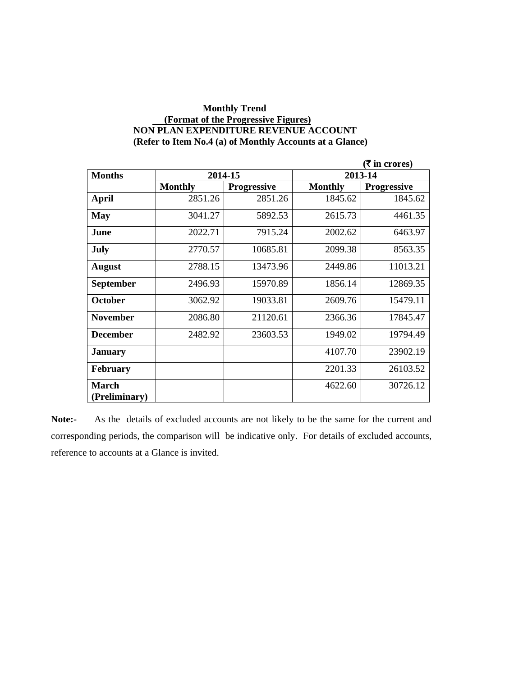#### **Monthly Trend (Format of the Progressive Figures) NON PLAN EXPENDITURE REVENUE ACCOUNT (Refer to Item No.4 (a) of Monthly Accounts at a Glance)**

|                               |                |                    |                | ( ₹ in cross)      |
|-------------------------------|----------------|--------------------|----------------|--------------------|
| <b>Months</b>                 |                | 2014-15            |                | 2013-14            |
|                               | <b>Monthly</b> | <b>Progressive</b> | <b>Monthly</b> | <b>Progressive</b> |
| April                         | 2851.26        | 2851.26            | 1845.62        | 1845.62            |
| <b>May</b>                    | 3041.27        | 5892.53            | 2615.73        | 4461.35            |
| June                          | 2022.71        | 7915.24            | 2002.62        | 6463.97            |
| July                          | 2770.57        | 10685.81           | 2099.38        | 8563.35            |
| <b>August</b>                 | 2788.15        | 13473.96           | 2449.86        | 11013.21           |
| <b>September</b>              | 2496.93        | 15970.89           | 1856.14        | 12869.35           |
| October                       | 3062.92        | 19033.81           | 2609.76        | 15479.11           |
| <b>November</b>               | 2086.80        | 21120.61           | 2366.36        | 17845.47           |
| <b>December</b>               | 2482.92        | 23603.53           | 1949.02        | 19794.49           |
| <b>January</b>                |                |                    | 4107.70        | 23902.19           |
| <b>February</b>               |                |                    | 2201.33        | 26103.52           |
| <b>March</b><br>(Preliminary) |                |                    | 4622.60        | 30726.12           |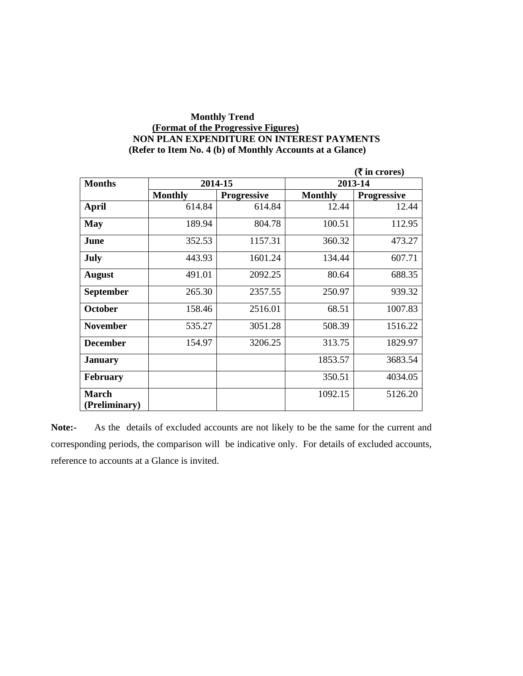#### **Monthly Trend (Format of the Progressive Figures) NON PLAN EXPENDITURE ON INTEREST PAYMENTS (Refer to Item No. 4 (b) of Monthly Accounts at a Glance)**

|                               |                |                    |                | $(ξ$ in crores)    |
|-------------------------------|----------------|--------------------|----------------|--------------------|
| <b>Months</b>                 |                | 2014-15            |                | 2013-14            |
|                               | <b>Monthly</b> | <b>Progressive</b> | <b>Monthly</b> | <b>Progressive</b> |
| <b>April</b>                  | 614.84         | 614.84             | 12.44          | 12.44              |
| <b>May</b>                    | 189.94         | 804.78             | 100.51         | 112.95             |
| June                          | 352.53         | 1157.31            | 360.32         | 473.27             |
| July                          | 443.93         | 1601.24            | 134.44         | 607.71             |
| <b>August</b>                 | 491.01         | 2092.25            | 80.64          | 688.35             |
| September                     | 265.30         | 2357.55            | 250.97         | 939.32             |
| <b>October</b>                | 158.46         | 2516.01            | 68.51          | 1007.83            |
| <b>November</b>               | 535.27         | 3051.28            | 508.39         | 1516.22            |
| <b>December</b>               | 154.97         | 3206.25            | 313.75         | 1829.97            |
| <b>January</b>                |                |                    | 1853.57        | 3683.54            |
| <b>February</b>               |                |                    | 350.51         | 4034.05            |
| <b>March</b><br>(Preliminary) |                |                    | 1092.15        | 5126.20            |
|                               |                |                    |                |                    |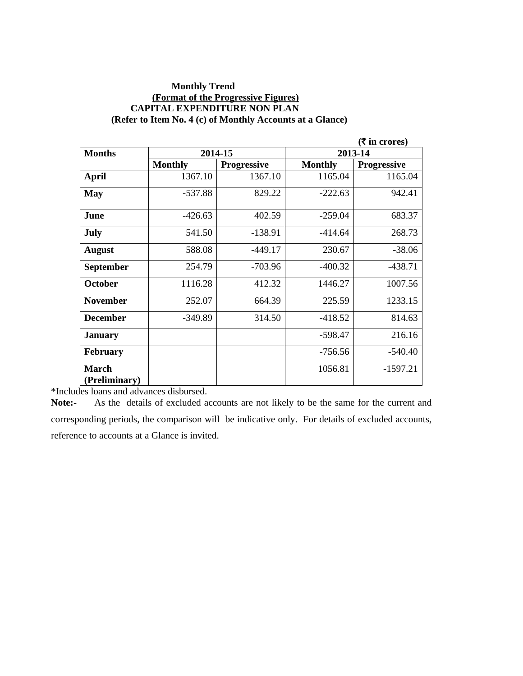#### **Monthly Trend (Format of the Progressive Figures) CAPITAL EXPENDITURE NON PLAN (Refer to Item No. 4 (c) of Monthly Accounts at a Glance)**

|                               |                |                    |                | (₹ in crores)      |
|-------------------------------|----------------|--------------------|----------------|--------------------|
| <b>Months</b>                 |                | 2014-15            |                | 2013-14            |
|                               | <b>Monthly</b> | <b>Progressive</b> | <b>Monthly</b> | <b>Progressive</b> |
| <b>April</b>                  | 1367.10        | 1367.10            | 1165.04        | 1165.04            |
| <b>May</b>                    | $-537.88$      | 829.22             | $-222.63$      | 942.41             |
| June                          | $-426.63$      | 402.59             | $-259.04$      | 683.37             |
| July                          | 541.50         | $-138.91$          | $-414.64$      | 268.73             |
| <b>August</b>                 | 588.08         | $-449.17$          | 230.67         | $-38.06$           |
| <b>September</b>              | 254.79         | $-703.96$          | $-400.32$      | $-438.71$          |
| <b>October</b>                | 1116.28        | 412.32             | 1446.27        | 1007.56            |
| <b>November</b>               | 252.07         | 664.39             | 225.59         | 1233.15            |
| <b>December</b>               | $-349.89$      | 314.50             | $-418.52$      | 814.63             |
| <b>January</b>                |                |                    | $-598.47$      | 216.16             |
| <b>February</b>               |                |                    | $-756.56$      | $-540.40$          |
| <b>March</b><br>(Preliminary) |                |                    | 1056.81        | $-1597.21$         |

\*Includes loans and advances disbursed.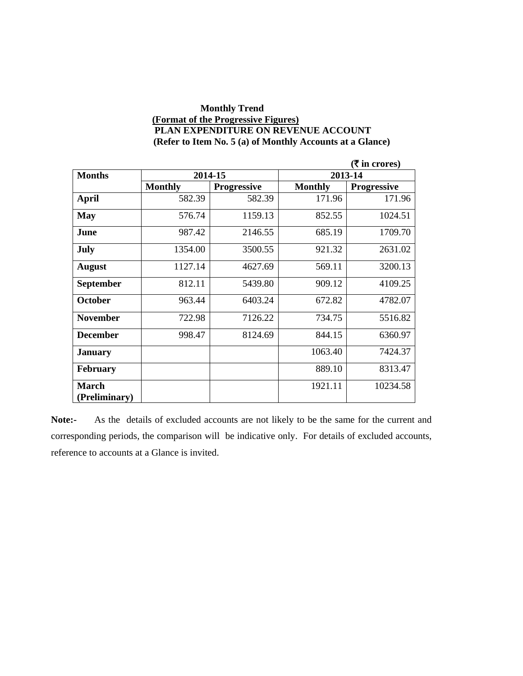#### **Monthly Trend (Format of the Progressive Figures) PLAN EXPENDITURE ON REVENUE ACCOUNT (Refer to Item No. 5 (a) of Monthly Accounts at a Glance)**

|                  |                |                    |                | $($ ₹ in crores)   |
|------------------|----------------|--------------------|----------------|--------------------|
| <b>Months</b>    | 2014-15        |                    |                | 2013-14            |
|                  | <b>Monthly</b> | <b>Progressive</b> | <b>Monthly</b> | <b>Progressive</b> |
| <b>April</b>     | 582.39         | 582.39             | 171.96         | 171.96             |
| <b>May</b>       | 576.74         | 1159.13            | 852.55         | 1024.51            |
| June             | 987.42         | 2146.55            | 685.19         | 1709.70            |
| July             | 1354.00        | 3500.55            | 921.32         | 2631.02            |
| <b>August</b>    | 1127.14        | 4627.69            | 569.11         | 3200.13            |
| <b>September</b> | 812.11         | 5439.80            | 909.12         | 4109.25            |
| <b>October</b>   | 963.44         | 6403.24            | 672.82         | 4782.07            |
| <b>November</b>  | 722.98         | 7126.22            | 734.75         | 5516.82            |
| <b>December</b>  | 998.47         | 8124.69            | 844.15         | 6360.97            |
| <b>January</b>   |                |                    | 1063.40        | 7424.37            |
| <b>February</b>  |                |                    | 889.10         | 8313.47            |
| <b>March</b>     |                |                    | 1921.11        | 10234.58           |
| (Preliminary)    |                |                    |                |                    |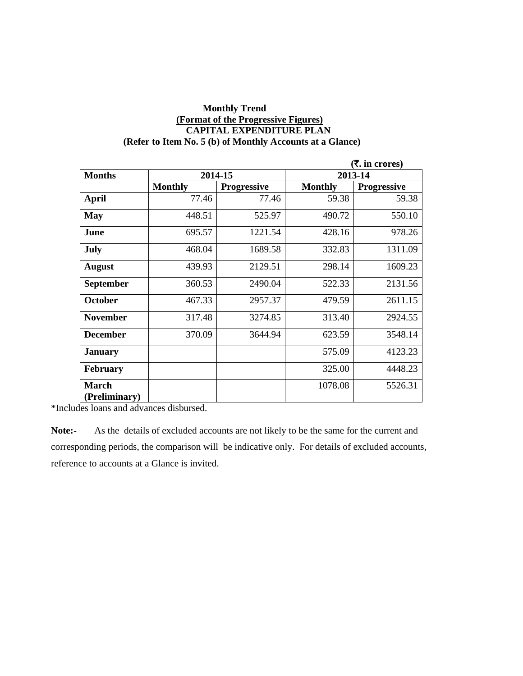#### **Monthly Trend (Format of the Progressive Figures) CAPITAL EXPENDITURE PLAN (Refer to Item No. 5 (b) of Monthly Accounts at a Glance)**

|                               |                |                    |                | ( <b>₹.</b> in crores) |
|-------------------------------|----------------|--------------------|----------------|------------------------|
| <b>Months</b>                 |                | 2014-15            | 2013-14        |                        |
|                               | <b>Monthly</b> | <b>Progressive</b> | <b>Monthly</b> | <b>Progressive</b>     |
| <b>April</b>                  | 77.46          | 77.46              | 59.38          | 59.38                  |
| <b>May</b>                    | 448.51         | 525.97             | 490.72         | 550.10                 |
| June                          | 695.57         | 1221.54            | 428.16         | 978.26                 |
| July                          | 468.04         | 1689.58            | 332.83         | 1311.09                |
| <b>August</b>                 | 439.93         | 2129.51            | 298.14         | 1609.23                |
| <b>September</b>              | 360.53         | 2490.04            | 522.33         | 2131.56                |
| <b>October</b>                | 467.33         | 2957.37            | 479.59         | 2611.15                |
| <b>November</b>               | 317.48         | 3274.85            | 313.40         | 2924.55                |
| <b>December</b>               | 370.09         | 3644.94            | 623.59         | 3548.14                |
| <b>January</b>                |                |                    | 575.09         | 4123.23                |
| <b>February</b>               |                |                    | 325.00         | 4448.23                |
| <b>March</b><br>(Preliminary) |                |                    | 1078.08        | 5526.31                |

\*Includes loans and advances disbursed.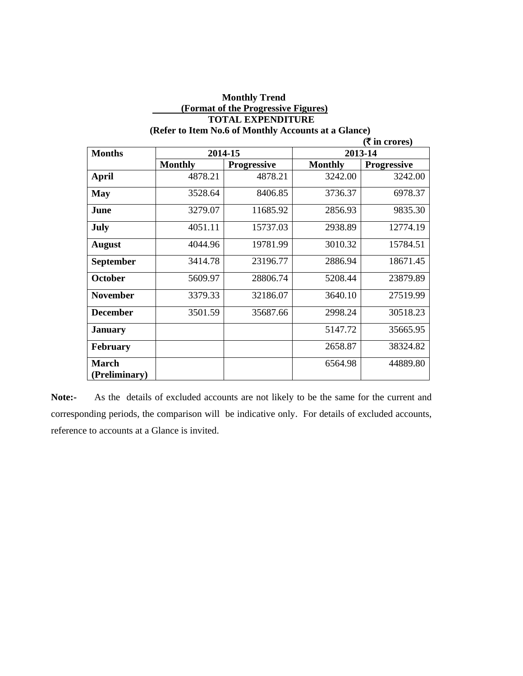|                               |                |                    |                | $(\bar{\mathbf{\mathsf{z}}}$ in crores) |
|-------------------------------|----------------|--------------------|----------------|-----------------------------------------|
| <b>Months</b>                 |                | 2014-15            |                | 2013-14                                 |
|                               | <b>Monthly</b> | <b>Progressive</b> | <b>Monthly</b> | <b>Progressive</b>                      |
| <b>April</b>                  | 4878.21        | 4878.21            | 3242.00        | 3242.00                                 |
| <b>May</b>                    | 3528.64        | 8406.85            | 3736.37        | 6978.37                                 |
| June                          | 3279.07        | 11685.92           | 2856.93        | 9835.30                                 |
| <b>July</b>                   | 4051.11        | 15737.03           | 2938.89        | 12774.19                                |
| <b>August</b>                 | 4044.96        | 19781.99           | 3010.32        | 15784.51                                |
| September                     | 3414.78        | 23196.77           | 2886.94        | 18671.45                                |
| <b>October</b>                | 5609.97        | 28806.74           | 5208.44        | 23879.89                                |
| <b>November</b>               | 3379.33        | 32186.07           | 3640.10        | 27519.99                                |
| <b>December</b>               | 3501.59        | 35687.66           | 2998.24        | 30518.23                                |
| <b>January</b>                |                |                    | 5147.72        | 35665.95                                |
| <b>February</b>               |                |                    | 2658.87        | 38324.82                                |
| <b>March</b><br>(Preliminary) |                |                    | 6564.98        | 44889.80                                |

## **Monthly Trend (Format of the Progressive Figures) TOTAL EXPENDITURE**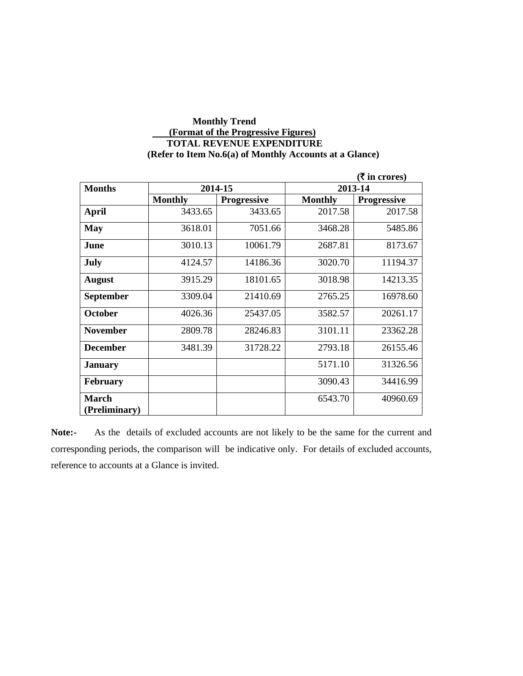### **Monthly Trend (Format of the Progressive Figures) TOTAL REVENUE EXPENDITURE (Refer to Item No.6(a) of Monthly Accounts at a Glance)**

|                 |                |                    |                | (₹ in crores)      |
|-----------------|----------------|--------------------|----------------|--------------------|
| <b>Months</b>   |                | 2014-15            |                | 2013-14            |
|                 | <b>Monthly</b> | <b>Progressive</b> | <b>Monthly</b> | <b>Progressive</b> |
| <b>April</b>    | 3433.65        | 3433.65            | 2017.58        | 2017.58            |
| <b>May</b>      | 3618.01        | 7051.66            | 3468.28        | 5485.86            |
| June            | 3010.13        | 10061.79           | 2687.81        | 8173.67            |
| July            | 4124.57        | 14186.36           | 3020.70        | 11194.37           |
| <b>August</b>   | 3915.29        | 18101.65           | 3018.98        | 14213.35           |
| September       | 3309.04        | 21410.69           | 2765.25        | 16978.60           |
| <b>October</b>  | 4026.36        | 25437.05           | 3582.57        | 20261.17           |
| <b>November</b> | 2809.78        | 28246.83           | 3101.11        | 23362.28           |
| <b>December</b> | 3481.39        | 31728.22           | 2793.18        | 26155.46           |
| <b>January</b>  |                |                    | 5171.10        | 31326.56           |
| <b>February</b> |                |                    | 3090.43        | 34416.99           |
| <b>March</b>    |                |                    | 6543.70        | 40960.69           |
| (Preliminary)   |                |                    |                |                    |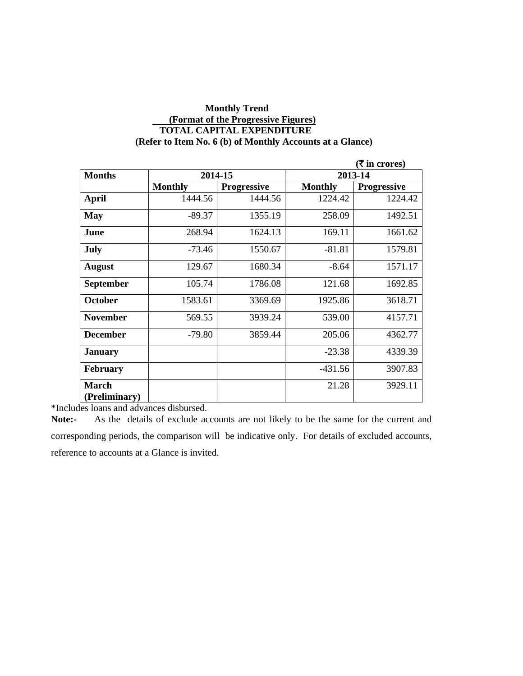#### **Monthly Trend (Format of the Progressive Figures) TOTAL CAPITAL EXPENDITURE (Refer to Item No. 6 (b) of Monthly Accounts at a Glance)**

|                               |                |                    |                | $(\bar{\bar{\mathbf{x}}}$ in crores) |
|-------------------------------|----------------|--------------------|----------------|--------------------------------------|
| <b>Months</b>                 |                | 2014-15            | 2013-14        |                                      |
|                               | <b>Monthly</b> | <b>Progressive</b> | <b>Monthly</b> | <b>Progressive</b>                   |
| April                         | 1444.56        | 1444.56            | 1224.42        | 1224.42                              |
| <b>May</b>                    | $-89.37$       | 1355.19            | 258.09         | 1492.51                              |
| June                          | 268.94         | 1624.13            | 169.11         | 1661.62                              |
| July                          | $-73.46$       | 1550.67            | $-81.81$       | 1579.81                              |
| <b>August</b>                 | 129.67         | 1680.34            | $-8.64$        | 1571.17                              |
| <b>September</b>              | 105.74         | 1786.08            | 121.68         | 1692.85                              |
| <b>October</b>                | 1583.61        | 3369.69            | 1925.86        | 3618.71                              |
| <b>November</b>               | 569.55         | 3939.24            | 539.00         | 4157.71                              |
| <b>December</b>               | $-79.80$       | 3859.44            | 205.06         | 4362.77                              |
| <b>January</b>                |                |                    | $-23.38$       | 4339.39                              |
| <b>February</b>               |                |                    | $-431.56$      | 3907.83                              |
| <b>March</b><br>(Preliminary) |                |                    | 21.28          | 3929.11                              |

\*Includes loans and advances disbursed.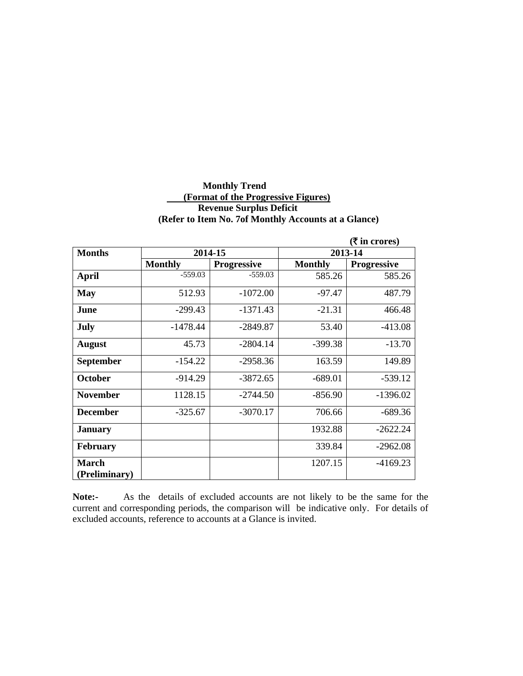#### **Monthly Trend (Format of the Progressive Figures) Revenue Surplus Deficit (Refer to Item No. 7of Monthly Accounts at a Glance)**

|                  |                |                    |                | ( ₹ in cross)      |
|------------------|----------------|--------------------|----------------|--------------------|
| <b>Months</b>    |                | 2014-15            | 2013-14        |                    |
|                  | <b>Monthly</b> | <b>Progressive</b> | <b>Monthly</b> | <b>Progressive</b> |
| <b>April</b>     | $-559.03$      | $-559.03$          | 585.26         | 585.26             |
| May              | 512.93         | $-1072.00$         | $-97.47$       | 487.79             |
| June             | $-299.43$      | $-1371.43$         | $-21.31$       | 466.48             |
| July             | $-1478.44$     | $-2849.87$         | 53.40          | $-413.08$          |
| <b>August</b>    | 45.73          | $-2804.14$         | $-399.38$      | $-13.70$           |
| <b>September</b> | $-154.22$      | $-2958.36$         | 163.59         | 149.89             |
| <b>October</b>   | $-914.29$      | $-3872.65$         | $-689.01$      | $-539.12$          |
| <b>November</b>  | 1128.15        | $-2744.50$         | $-856.90$      | $-1396.02$         |
| <b>December</b>  | $-325.67$      | $-3070.17$         | 706.66         | $-689.36$          |
| <b>January</b>   |                |                    | 1932.88        | $-2622.24$         |
| <b>February</b>  |                |                    | 339.84         | $-2962.08$         |
| <b>March</b>     |                |                    | 1207.15        | $-4169.23$         |
| (Preliminary)    |                |                    |                |                    |